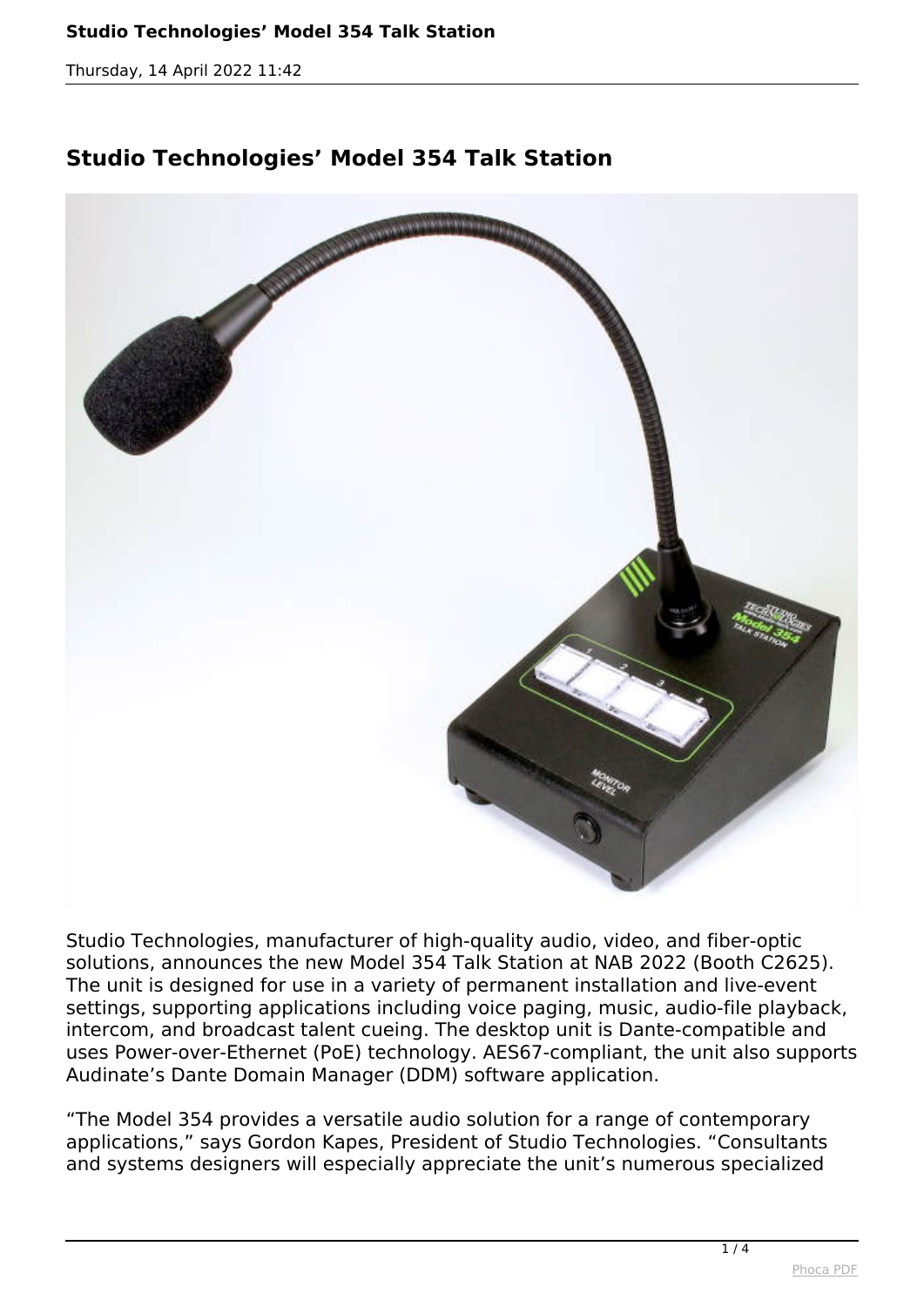*Thursday, 14 April 2022 11:42*

## **Studio Technologies' Model 354 Talk Station**



*Studio Technologies, manufacturer of high-quality audio, video, and fiber-optic solutions, announces the new Model 354 Talk Station at NAB 2022 (Booth C2625). The unit is designed for use in a variety of permanent installation and live-event settings, supporting applications including voice paging, music, audio-file playback, intercom, and broadcast talent cueing. The desktop unit is Dante-compatible and uses Power-over-Ethernet (PoE) technology. AES67-compliant, the unit also supports Audinate's Dante Domain Manager (DDM) software application.*

*"The Model 354 provides a versatile audio solution for a range of contemporary applications," says Gordon Kapes, President of Studio Technologies. "Consultants and systems designers will especially appreciate the unit's numerous specialized*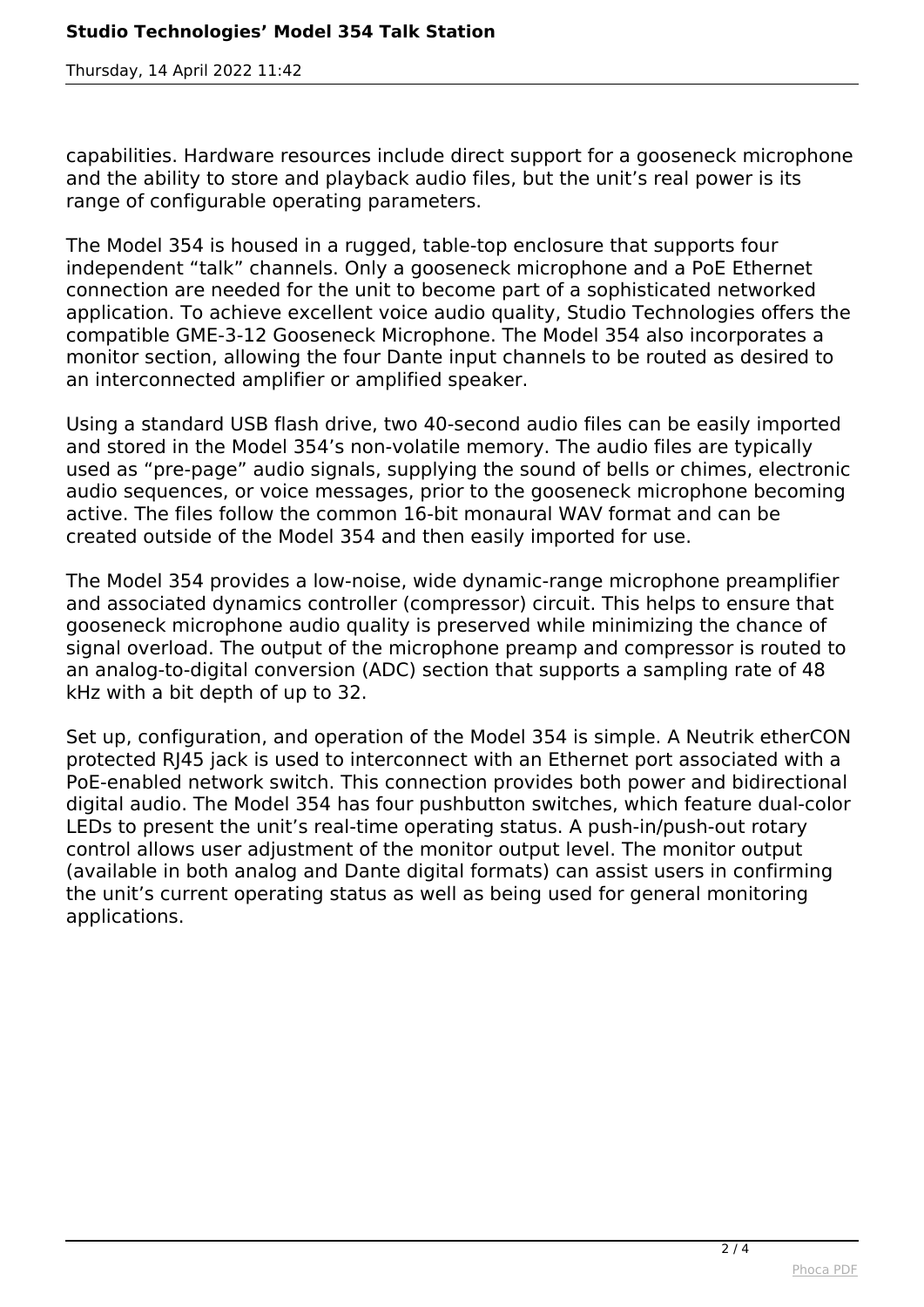*Thursday, 14 April 2022 11:42*

*capabilities. Hardware resources include direct support for a gooseneck microphone and the ability to store and playback audio files, but the unit's real power is its range of configurable operating parameters.*

*The Model 354 is housed in a rugged, table-top enclosure that supports four independent "talk" channels. Only a gooseneck microphone and a PoE Ethernet connection are needed for the unit to become part of a sophisticated networked application. To achieve excellent voice audio quality, Studio Technologies offers the compatible GME-3-12 Gooseneck Microphone. The Model 354 also incorporates a monitor section, allowing the four Dante input channels to be routed as desired to an interconnected amplifier or amplified speaker.*

*Using a standard USB flash drive, two 40-second audio files can be easily imported and stored in the Model 354's non-volatile memory. The audio files are typically used as "pre-page" audio signals, supplying the sound of bells or chimes, electronic audio sequences, or voice messages, prior to the gooseneck microphone becoming active. The files follow the common 16-bit monaural WAV format and can be created outside of the Model 354 and then easily imported for use.*

*The Model 354 provides a low-noise, wide dynamic-range microphone preamplifier and associated dynamics controller (compressor) circuit. This helps to ensure that gooseneck microphone audio quality is preserved while minimizing the chance of signal overload. The output of the microphone preamp and compressor is routed to an analog-to-digital conversion (ADC) section that supports a sampling rate of 48 kHz with a bit depth of up to 32.*

*Set up, configuration, and operation of the Model 354 is simple. A Neutrik etherCON protected RJ45 jack is used to interconnect with an Ethernet port associated with a PoE-enabled network switch. This connection provides both power and bidirectional digital audio. The Model 354 has four pushbutton switches, which feature dual-color LEDs to present the unit's real-time operating status. A push-in/push-out rotary control allows user adjustment of the monitor output level. The monitor output (available in both analog and Dante digital formats) can assist users in confirming the unit's current operating status as well as being used for general monitoring applications.*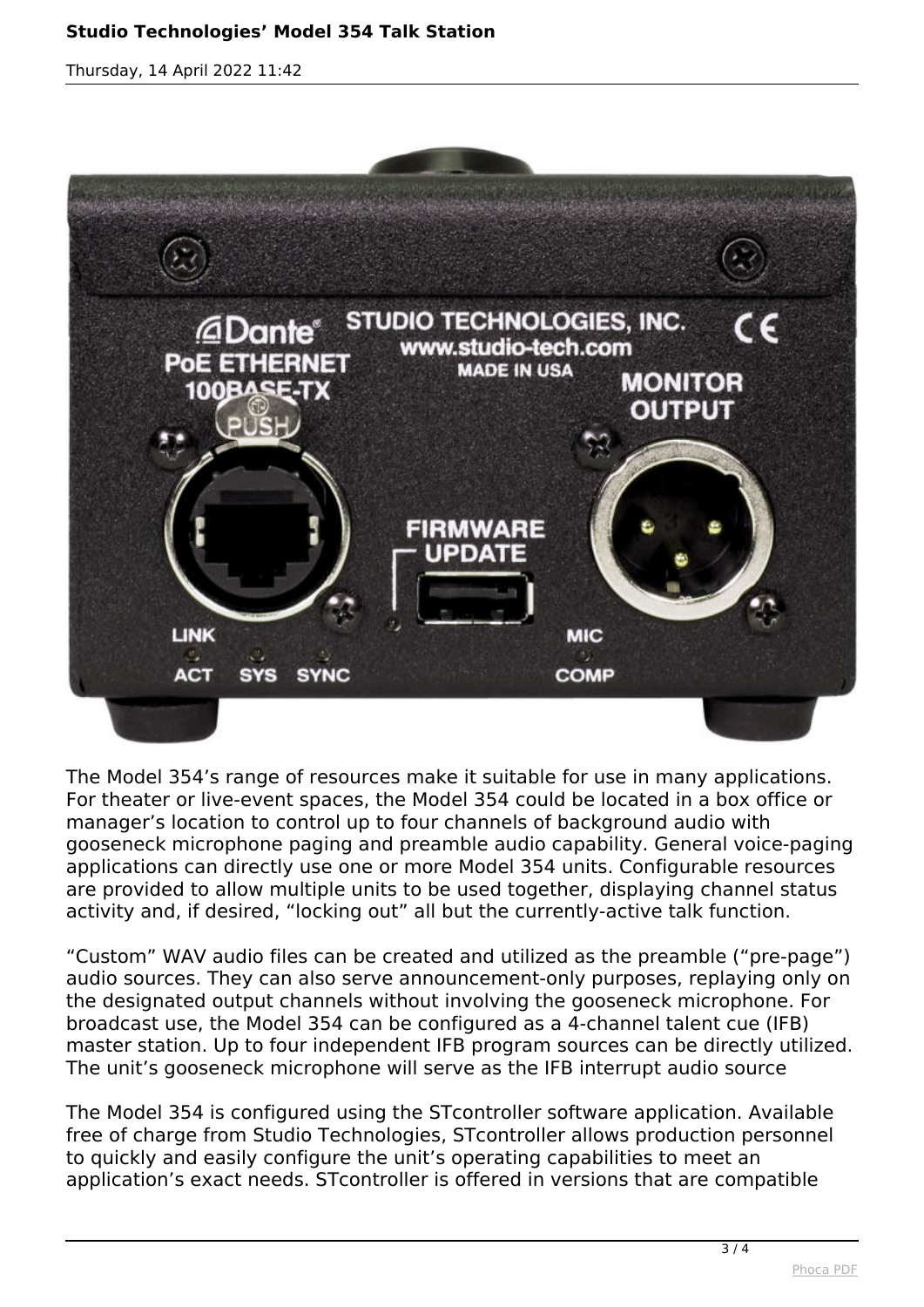## **Studio Technologies' Model 354 Talk Station**

*Thursday, 14 April 2022 11:42*



*The Model 354's range of resources make it suitable for use in many applications. For theater or live-event spaces, the Model 354 could be located in a box office or manager's location to control up to four channels of background audio with gooseneck microphone paging and preamble audio capability. General voice-paging applications can directly use one or more Model 354 units. Configurable resources are provided to allow multiple units to be used together, displaying channel status activity and, if desired, "locking out" all but the currently-active talk function.*

*"Custom" WAV audio files can be created and utilized as the preamble ("pre-page") audio sources. They can also serve announcement-only purposes, replaying only on the designated output channels without involving the gooseneck microphone. For broadcast use, the Model 354 can be configured as a 4-channel talent cue (IFB) master station. Up to four independent IFB program sources can be directly utilized. The unit's gooseneck microphone will serve as the IFB interrupt audio source*

*The Model 354 is configured using the STcontroller software application. Available free of charge from Studio Technologies, STcontroller allows production personnel to quickly and easily configure the unit's operating capabilities to meet an application's exact needs. STcontroller is offered in versions that are compatible*